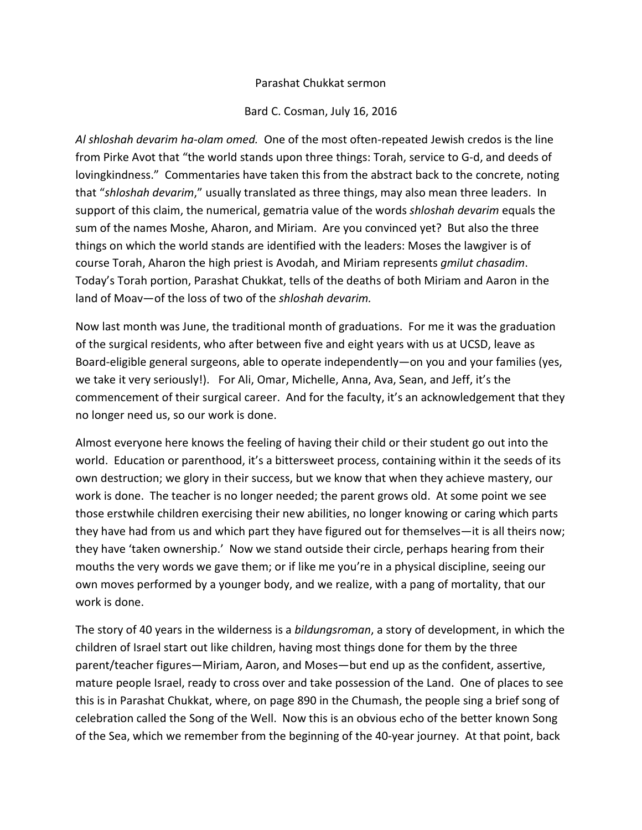## Parashat Chukkat sermon

## Bard C. Cosman, July 16, 2016

*Al shloshah devarim ha-olam omed.* One of the most often-repeated Jewish credos is the line from Pirke Avot that "the world stands upon three things: Torah, service to G-d, and deeds of lovingkindness." Commentaries have taken this from the abstract back to the concrete, noting that "*shloshah devarim*," usually translated as three things, may also mean three leaders. In support of this claim, the numerical, gematria value of the words *shloshah devarim* equals the sum of the names Moshe, Aharon, and Miriam. Are you convinced yet? But also the three things on which the world stands are identified with the leaders: Moses the lawgiver is of course Torah, Aharon the high priest is Avodah, and Miriam represents *gmilut chasadim*. Today's Torah portion, Parashat Chukkat, tells of the deaths of both Miriam and Aaron in the land of Moav—of the loss of two of the *shloshah devarim.*

Now last month was June, the traditional month of graduations. For me it was the graduation of the surgical residents, who after between five and eight years with us at UCSD, leave as Board-eligible general surgeons, able to operate independently—on you and your families (yes, we take it very seriously!). For Ali, Omar, Michelle, Anna, Ava, Sean, and Jeff, it's the commencement of their surgical career. And for the faculty, it's an acknowledgement that they no longer need us, so our work is done.

Almost everyone here knows the feeling of having their child or their student go out into the world. Education or parenthood, it's a bittersweet process, containing within it the seeds of its own destruction; we glory in their success, but we know that when they achieve mastery, our work is done. The teacher is no longer needed; the parent grows old. At some point we see those erstwhile children exercising their new abilities, no longer knowing or caring which parts they have had from us and which part they have figured out for themselves—it is all theirs now; they have 'taken ownership.' Now we stand outside their circle, perhaps hearing from their mouths the very words we gave them; or if like me you're in a physical discipline, seeing our own moves performed by a younger body, and we realize, with a pang of mortality, that our work is done.

The story of 40 years in the wilderness is a *bildungsroman*, a story of development, in which the children of Israel start out like children, having most things done for them by the three parent/teacher figures—Miriam, Aaron, and Moses—but end up as the confident, assertive, mature people Israel, ready to cross over and take possession of the Land. One of places to see this is in Parashat Chukkat, where, on page 890 in the Chumash, the people sing a brief song of celebration called the Song of the Well. Now this is an obvious echo of the better known Song of the Sea, which we remember from the beginning of the 40-year journey. At that point, back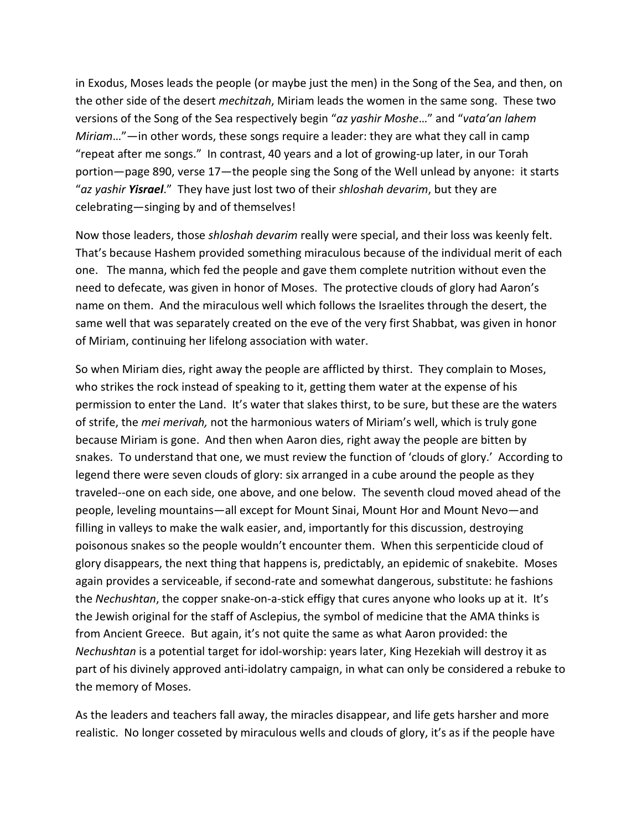in Exodus, Moses leads the people (or maybe just the men) in the Song of the Sea, and then, on the other side of the desert *mechitzah*, Miriam leads the women in the same song. These two versions of the Song of the Sea respectively begin "*az yashir Moshe*…" and "*vata'an lahem Miriam*…"—in other words, these songs require a leader: they are what they call in camp "repeat after me songs." In contrast, 40 years and a lot of growing-up later, in our Torah portion—page 890, verse 17—the people sing the Song of the Well unlead by anyone: it starts "*az yashir Yisrael*." They have just lost two of their *shloshah devarim*, but they are celebrating—singing by and of themselves!

Now those leaders, those *shloshah devarim* really were special, and their loss was keenly felt. That's because Hashem provided something miraculous because of the individual merit of each one. The manna, which fed the people and gave them complete nutrition without even the need to defecate, was given in honor of Moses. The protective clouds of glory had Aaron's name on them. And the miraculous well which follows the Israelites through the desert, the same well that was separately created on the eve of the very first Shabbat, was given in honor of Miriam, continuing her lifelong association with water.

So when Miriam dies, right away the people are afflicted by thirst. They complain to Moses, who strikes the rock instead of speaking to it, getting them water at the expense of his permission to enter the Land. It's water that slakes thirst, to be sure, but these are the waters of strife, the *mei merivah,* not the harmonious waters of Miriam's well, which is truly gone because Miriam is gone. And then when Aaron dies, right away the people are bitten by snakes. To understand that one, we must review the function of 'clouds of glory.' According to legend there were seven clouds of glory: six arranged in a cube around the people as they traveled--one on each side, one above, and one below. The seventh cloud moved ahead of the people, leveling mountains—all except for Mount Sinai, Mount Hor and Mount Nevo—and filling in valleys to make the walk easier, and, importantly for this discussion, destroying poisonous snakes so the people wouldn't encounter them. When this serpenticide cloud of glory disappears, the next thing that happens is, predictably, an epidemic of snakebite. Moses again provides a serviceable, if second-rate and somewhat dangerous, substitute: he fashions the *Nechushtan*, the copper snake-on-a-stick effigy that cures anyone who looks up at it. It's the Jewish original for the staff of Asclepius, the symbol of medicine that the AMA thinks is from Ancient Greece. But again, it's not quite the same as what Aaron provided: the *Nechushtan* is a potential target for idol-worship: years later, King Hezekiah will destroy it as part of his divinely approved anti-idolatry campaign, in what can only be considered a rebuke to the memory of Moses.

As the leaders and teachers fall away, the miracles disappear, and life gets harsher and more realistic. No longer cosseted by miraculous wells and clouds of glory, it's as if the people have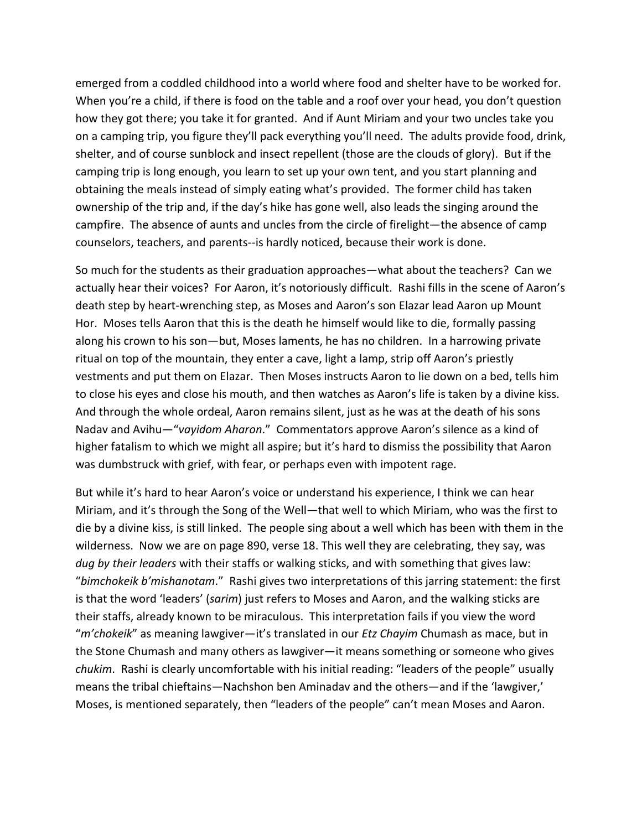emerged from a coddled childhood into a world where food and shelter have to be worked for. When you're a child, if there is food on the table and a roof over your head, you don't question how they got there; you take it for granted. And if Aunt Miriam and your two uncles take you on a camping trip, you figure they'll pack everything you'll need. The adults provide food, drink, shelter, and of course sunblock and insect repellent (those are the clouds of glory). But if the camping trip is long enough, you learn to set up your own tent, and you start planning and obtaining the meals instead of simply eating what's provided. The former child has taken ownership of the trip and, if the day's hike has gone well, also leads the singing around the campfire. The absence of aunts and uncles from the circle of firelight—the absence of camp counselors, teachers, and parents--is hardly noticed, because their work is done.

So much for the students as their graduation approaches—what about the teachers? Can we actually hear their voices? For Aaron, it's notoriously difficult. Rashi fills in the scene of Aaron's death step by heart-wrenching step, as Moses and Aaron's son Elazar lead Aaron up Mount Hor. Moses tells Aaron that this is the death he himself would like to die, formally passing along his crown to his son—but, Moses laments, he has no children. In a harrowing private ritual on top of the mountain, they enter a cave, light a lamp, strip off Aaron's priestly vestments and put them on Elazar. Then Moses instructs Aaron to lie down on a bed, tells him to close his eyes and close his mouth, and then watches as Aaron's life is taken by a divine kiss. And through the whole ordeal, Aaron remains silent, just as he was at the death of his sons Nadav and Avihu—"*vayidom Aharon*." Commentators approve Aaron's silence as a kind of higher fatalism to which we might all aspire; but it's hard to dismiss the possibility that Aaron was dumbstruck with grief, with fear, or perhaps even with impotent rage.

But while it's hard to hear Aaron's voice or understand his experience, I think we can hear Miriam, and it's through the Song of the Well—that well to which Miriam, who was the first to die by a divine kiss, is still linked. The people sing about a well which has been with them in the wilderness. Now we are on page 890, verse 18. This well they are celebrating, they say, was *dug by their leaders* with their staffs or walking sticks, and with something that gives law: "*bimchokeik b'mishanotam*." Rashi gives two interpretations of this jarring statement: the first is that the word 'leaders' (*sarim*) just refers to Moses and Aaron, and the walking sticks are their staffs, already known to be miraculous. This interpretation fails if you view the word "*m'chokeik*" as meaning lawgiver—it's translated in our *Etz Chayim* Chumash as mace, but in the Stone Chumash and many others as lawgiver—it means something or someone who gives *chukim*. Rashi is clearly uncomfortable with his initial reading: "leaders of the people" usually means the tribal chieftains—Nachshon ben Aminadav and the others—and if the 'lawgiver,' Moses, is mentioned separately, then "leaders of the people" can't mean Moses and Aaron.